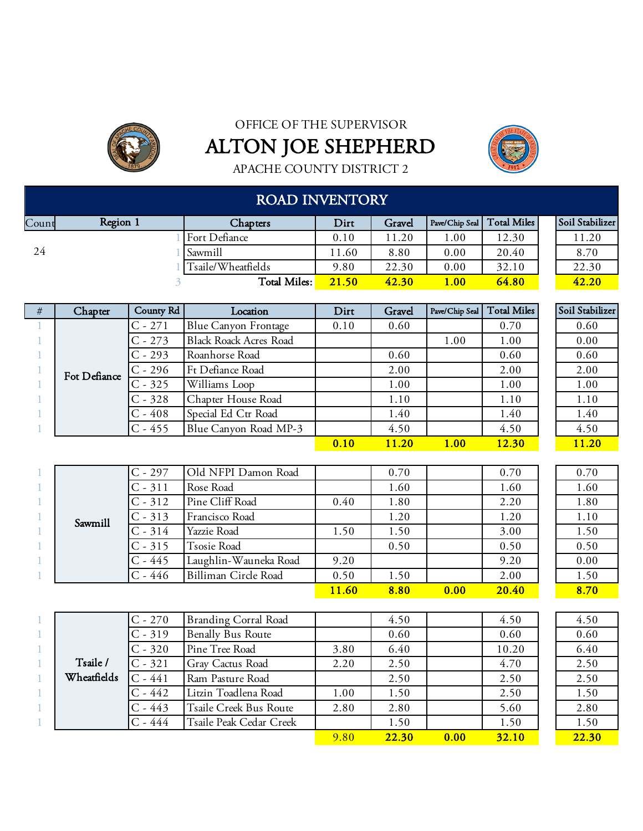



APACHE COUNTY DISTRICT 2

|       | <b>ROAD INVENTORY</b> |                      |       |        |          |                              |  |                 |  |  |  |  |  |
|-------|-----------------------|----------------------|-------|--------|----------|------------------------------|--|-----------------|--|--|--|--|--|
| Count | Region 1              | <b>Chapters</b>      | Dirt  | Gravel |          | Pave/Chip Seal   Total Miles |  | Soil Stabilizer |  |  |  |  |  |
|       |                       | <b>Fort Defiance</b> | 0.10  | 11.20  | $1.00\,$ | 12.30                        |  | 11.20           |  |  |  |  |  |
| -24   |                       | Sawmill              | 1.60  | 8.80   | 0.00     | 20.40                        |  | 8.70            |  |  |  |  |  |
|       |                       | Tsaile/Wheatfields   | 9.80  | 22.30  | 0.00     | 32.10                        |  | 22.30           |  |  |  |  |  |
|       |                       | Total Miles:         | 21.50 | 42.30  | 1.00     | 64.80                        |  | 42.20           |  |  |  |  |  |

| # | Chapter      | County Rd | Location                      | Dirt | Gravel |      | Pave/Chip Seal   Total Miles | Soil Stabilizer |
|---|--------------|-----------|-------------------------------|------|--------|------|------------------------------|-----------------|
|   |              | $C - 271$ | Blue Canyon Frontage          | 0.10 | 0.60   |      | 0.70                         | 0.60            |
|   |              | $C - 273$ | <b>Black Roack Acres Road</b> |      |        | 1.00 | 1.00                         | 0.00            |
|   |              | $C - 293$ | Roanhorse Road                |      | 0.60   |      | 0.60                         | 0.60            |
|   | Fot Defiance | $C - 296$ | Ft Defiance Road              |      | 2.00   |      | 2.00                         | 2.00            |
|   |              | $C - 325$ | Williams Loop                 |      | 1.00   |      | 1.00                         | 1.00            |
|   |              | $C - 328$ | Chapter House Road            |      | 1.10   |      | 1.10                         | 1.10            |
|   |              | $C - 408$ | Special Ed Ctr Road           |      | 1.40   |      | 1.40                         | 1.40            |
|   |              | $C - 455$ | Blue Canyon Road MP-3         |      | 4.50   |      | 4.50                         | 4.50            |
|   |              |           |                               | 0.10 | 11.20  | 1.00 | 12.30                        | <b>11.20</b>    |

|  |         | $C - 297$ | Old NFPI Damon Road   |       | 0.70 |      | 0.70  | 0.70 |
|--|---------|-----------|-----------------------|-------|------|------|-------|------|
|  |         | $C - 311$ | Rose Road             |       | 1.60 |      | 1.60  | 1.60 |
|  |         | $C - 312$ | Pine Cliff Road       | 0.40  | 1.80 |      | 2.20  | 1.80 |
|  | Sawmill | $C - 313$ | Francisco Road        |       | 1.20 |      | 1.20  | 1.10 |
|  |         | $C - 314$ | Yazzie Road           | 1.50  | 1.50 |      | 3.00  | 1.50 |
|  |         | $C - 315$ | <b>Tsosie Road</b>    |       | 0.50 |      | 0.50  | 0.50 |
|  |         | $C - 445$ | Laughlin-Wauneka Road | 9.20  |      |      | 9.20  | 0.00 |
|  |         | $C - 446$ | Billiman Circle Road  | 0.50  | 1.50 |      | 2.00  | 1.50 |
|  |         |           |                       | 11.60 | 8.80 | 0.00 | 20.40 | 8.70 |

|             | $C - 270$ | <b>Branding Corral Road</b> |      | 4.50  |      | 4.50  | 4.50  |
|-------------|-----------|-----------------------------|------|-------|------|-------|-------|
|             | $C - 319$ | <b>Benally Bus Route</b>    |      | 0.60  |      | 0.60  | 0.60  |
|             | $C - 320$ | Pine Tree Road              | 3.80 | 6.40  |      | 10.20 | 6.40  |
| Tsaile /    | $C - 321$ | <b>Gray Cactus Road</b>     | 2.20 | 2.50  |      | 4.70  | 2.50  |
| Wheatfields | $C - 441$ | Ram Pasture Road            |      | 2.50  |      | 2.50  | 2.50  |
|             | $C - 442$ | Litzin Toadlena Road        | 1.00 | 1.50  |      | 2.50  | 1.50  |
|             | $C - 443$ | Tsaile Creek Bus Route      | 2.80 | 2.80  |      | 5.60  | 2.80  |
|             | $C - 444$ | Tsaile Peak Cedar Creek     |      | 1.50  |      | 1.50  | 1.50  |
|             |           |                             | 9.80 | 22.30 | 0.00 | 32.10 | 22.30 |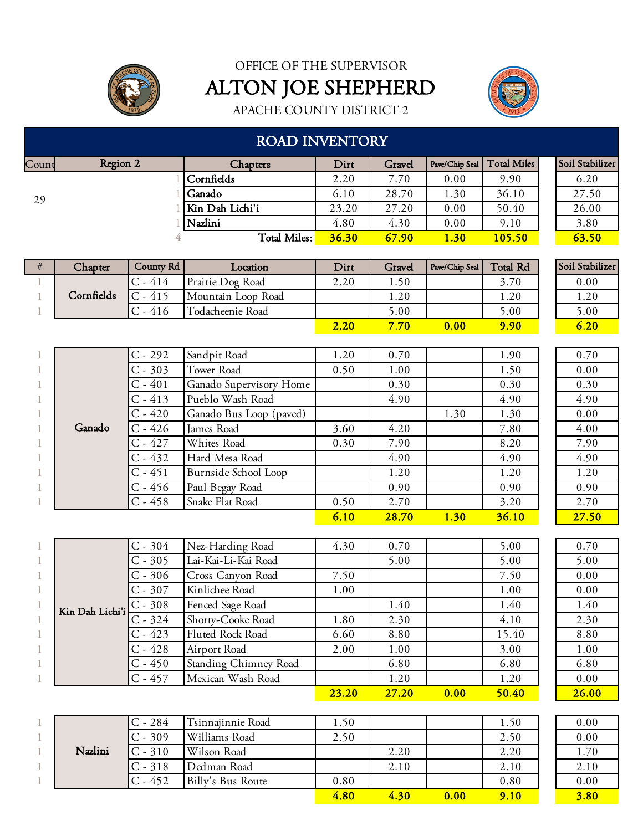



APACHE COUNTY DISTRICT 2

#### ROAD INVENTORY

| Count | Region 2 | Chapters        | Dirt  | Gravel |             | Pave/Chip Seal   Total Miles | Soil Stabilizer |
|-------|----------|-----------------|-------|--------|-------------|------------------------------|-----------------|
|       |          | Cornfields      | 2.20  | 7.70   | 0.00        | 9.90                         | 6.20            |
| 29    |          | Ganado          | 6.10  | 28.70  | 1.30        | 36.10                        | 27.50           |
|       |          | Kin Dah Lichi'i | 23.20 | 27.20  | 0.00        | 50.40                        | 26.00           |
|       |          | Nazlini         | 4.80  | 4.30   | 0.00        | 9.10                         | 3.80            |
|       |          | Total Miles:    | 36.30 | 67.90  | <b>1.30</b> | 105.50                       | 63.50           |

| # | Chapter    | County Rd       | Location           | Dirt | Gravel | Pave/Chip Seal | <b>Total Rd</b> | Soil Stabilizer |
|---|------------|-----------------|--------------------|------|--------|----------------|-----------------|-----------------|
|   |            | $-414$          | Prairie Dog Road   | 2.20 | 1.50   |                | 3.70            | 0.00            |
|   | Cornfields | $-415$          | Mountain Loop Road |      | . . 20 |                | 20              | 1.20            |
|   |            | $\degree$ - 416 | Todacheenie Road   |      | 5.00   |                | 5.00            | 5.00            |
|   |            |                 |                    | 2.20 | 7.70   | 0.00           | 9.90            | 6.20            |

|                |        | $C - 292$ | Sandpit Road            | 1.20 | 0.70  |             | 1.90  | 0.70  |
|----------------|--------|-----------|-------------------------|------|-------|-------------|-------|-------|
|                |        | $C - 303$ | Tower Road              | 0.50 | 1.00  |             | 1.50  | 0.00  |
|                |        | $C - 401$ | Ganado Supervisory Home |      | 0.30  |             | 0.30  | 0.30  |
|                |        | $C - 413$ | Pueblo Wash Road        |      | 4.90  |             | 4.90  | 4.90  |
|                |        | $C - 420$ | Ganado Bus Loop (paved) |      |       | 1.30        | 1.30  | 0.00  |
| $\overline{1}$ | Ganado | $C - 426$ | James Road              | 3.60 | 4.20  |             | 7.80  | 4.00  |
|                |        | $C - 427$ | Whites Road             | 0.30 | 7.90  |             | 8.20  | 7.90  |
|                |        | $C - 432$ | Hard Mesa Road          |      | 4.90  |             | 4.90  | 4.90  |
|                |        | $C - 451$ | Burnside School Loop    |      | 1.20  |             | 1.20  | 1.20  |
|                |        | $C - 456$ | Paul Begay Road         |      | 0.90  |             | 0.90  | 0.90  |
|                |        | $C - 458$ | Snake Flat Road         | 0.50 | 2.70  |             | 3.20  | 2.70  |
|                |        |           |                         | 6.10 | 28.70 | <b>1.30</b> | 36.10 | 27.50 |

| 0.00  |
|-------|
| 0.30  |
| 4.90  |
| 0.00  |
| 4.00  |
| 7.90  |
| 4.90  |
| 1.20  |
| 0.90  |
| 2.70  |
| 27.50 |
|       |

|                 | $C - 304$ | Nez-Harding Road      | 4.30         | 0.70         |      | 5.00  |  | 0.70     |
|-----------------|-----------|-----------------------|--------------|--------------|------|-------|--|----------|
|                 | $C - 305$ | Lai-Kai-Li-Kai Road   |              | 5.00         |      | 5.00  |  | 5.00     |
|                 | $C - 306$ | Cross Canyon Road     | 7.50         |              |      | 7.50  |  | 0.00     |
|                 | $C - 307$ | Kinlichee Road        | 1.00         |              |      | 1.00  |  | 0.00     |
| Kin Dah Lichi'i | $C - 308$ | Fenced Sage Road      |              | 1.40         |      | 1.40  |  | 1.40     |
|                 | $C - 324$ | Shorty-Cooke Road     | 1.80         | 2.30         |      | 4.10  |  | 2.30     |
|                 | $C - 423$ | Fluted Rock Road      | 6.60         | 8.80         |      | 15.40 |  | 8.80     |
|                 | $C - 428$ | Airport Road          | 2.00         | 1.00         |      | 3.00  |  | 1.00     |
|                 | $C - 450$ | Standing Chimney Road |              | 6.80         |      | 6.80  |  | 6.80     |
|                 | $C - 457$ | Mexican Wash Road     |              | 1.20         |      | 1.20  |  | $0.00\,$ |
|                 |           |                       | <b>23.20</b> | <b>27.20</b> | 0.00 | 50.40 |  | 26.00    |

|         | C - 284   | Tsinnajinnie Road | 1.50 |      |      | 1.50 | 0.00 |
|---------|-----------|-------------------|------|------|------|------|------|
|         | $C - 309$ | Williams Road     | 2.50 |      |      | 2.50 | 0.00 |
| Nazlini | $C - 310$ | Wilson Road       |      | 2.20 |      | 2.20 | 1.70 |
|         | $C - 318$ | Dedman Road       |      | 2.10 |      | 2.10 | 2.10 |
|         | $C - 452$ | Billy's Bus Route | 0.80 |      |      | 0.80 | 0.00 |
|         |           |                   | 4.80 | 4.30 | 0.00 | 9.10 | 3.80 |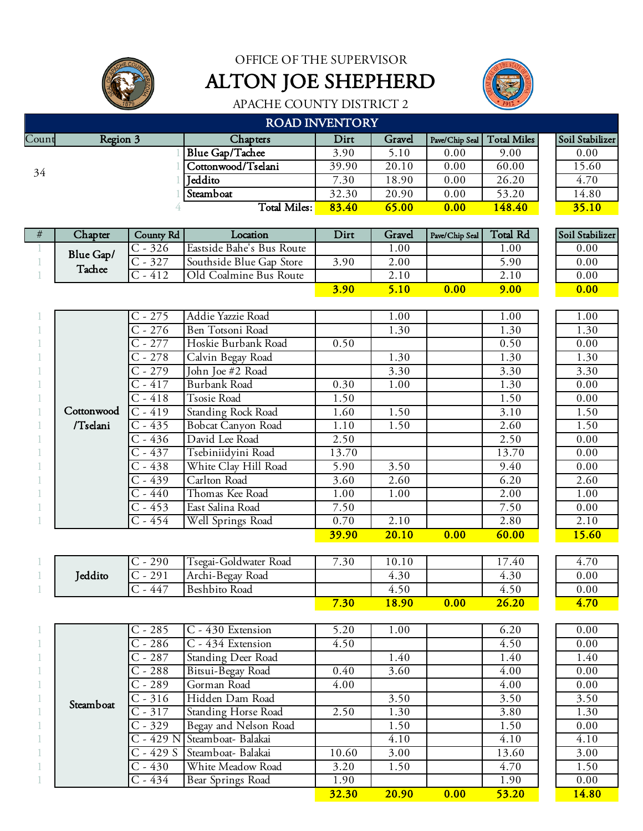OFFICE OF THE SUPERVISOR



ALTON JOE SHEPHERD



| <b>ROAD INVENTORY</b> |          |                      |       |        |                |             |  |                 |  |  |  |  |
|-----------------------|----------|----------------------|-------|--------|----------------|-------------|--|-----------------|--|--|--|--|
| Count                 | Region 3 | Chapters             | Dirt  | Gravel | Pave/Chip Seal | Total Miles |  | Soil Stabilizer |  |  |  |  |
|                       |          | Blue Gap/Tachee      | 3.90  | 5.10   | 0.00           | 9.00        |  | 0.00            |  |  |  |  |
| 34                    |          | Cottonwood/Tselani   | 39.90 | 20.10  | 0.00           | 60.00       |  | 15.60           |  |  |  |  |
|                       |          | <sup>1</sup> Ieddito | 7.30  | 18.90  | 0.00           | 26.20       |  | 4.70            |  |  |  |  |
|                       |          | Steamboat            | 32.30 | 20.90  | 0.00           | 53.20       |  | 14.80           |  |  |  |  |
|                       |          | Total Miles:         | 83.40 | 65.00  | 0.00           | 148.40      |  | 35.10           |  |  |  |  |

| # | Chapter   | County Rd | Location                  | Dirt        | Gravel | Pave/Chip Seal | <b>Total Rd</b> | Soil Stabilizer |
|---|-----------|-----------|---------------------------|-------------|--------|----------------|-----------------|-----------------|
|   | Blue Gap/ | 326       | Eastside Bahe's Bus Route |             | .00.   |                | .00.            | 0.00            |
|   | Tachee    | 327       | Southside Blue Gap Store  | 3.90        | 2.00   |                | .90             | 0.00            |
|   |           | 412       | Old Coalmine Bus Route    |             | 2.10   |                | 2.10            | 0.00            |
|   |           |           |                           | <b>3.90</b> | 5.10   | 0.00           | 9.00            | 0.00            |

|            |           |                           | <b>39.90</b> | 20.10 | 0.00 | 60.00 | 15.60 |
|------------|-----------|---------------------------|--------------|-------|------|-------|-------|
|            | $C - 454$ | Well Springs Road         | 0.70         | 2.10  |      | 2.80  | 2.10  |
|            | $C - 453$ | East Salina Road          | 7.50         |       |      | 7.50  | 0.00  |
|            | $C - 440$ | Thomas Kee Road           | 1.00         | 1.00  |      | 2.00  | 1.00  |
|            | $C - 439$ | Carlton Road              | 3.60         | 2.60  |      | 6.20  | 2.60  |
|            | $C - 438$ | White Clay Hill Road      | 5.90         | 3.50  |      | 9.40  | 0.00  |
|            | $C - 437$ | Tsebiniidyini Road        | 13.70        |       |      | 13.70 | 0.00  |
|            | $C - 436$ | David Lee Road            | 2.50         |       |      | 2.50  | 0.00  |
| /Tselani   | $C - 435$ | <b>Bobcat Canyon Road</b> | 1.10         | 1.50  |      | 2.60  | 1.50  |
| Cottonwood | $C - 419$ | <b>Standing Rock Road</b> | 1.60         | 1.50  |      | 3.10  | 1.50  |
|            | $C - 418$ | Tsosie Road               | 1.50         |       |      | 1.50  | 0.00  |
|            | $C - 417$ | <b>Burbank Road</b>       | 0.30         | 1.00  |      | 1.30  | 0.00  |
|            | $C - 279$ | John Joe #2 Road          |              | 3.30  |      | 3.30  | 3.30  |
|            | $C - 278$ | Calvin Begay Road         |              | 1.30  |      | 1.30  | 1.30  |
|            | $C - 277$ | Hoskie Burbank Road       | 0.50         |       |      | 0.50  | 0.00  |
|            | $C - 276$ | Ben Totsoni Road          |              | 1.30  |      | 1.30  | 1.30  |
|            | $C - 275$ | Addie Yazzie Road         |              | 1.00  |      | 1.00  | 1.00  |

|         | 290             | Fsegai-Goldwater Road | 7.30 | 10.10 |      | $\overline{ }$<br>.40 | 70<br>4.7 |
|---------|-----------------|-----------------------|------|-------|------|-----------------------|-----------|
| Ieddito | 201<br>◡<br>ر ب | Archi-Begay<br>Road   |      | 4.30  |      | 4.30                  | 0.00      |
|         | 447             | Road<br>Beshbito.     |      | 4.50  |      | 4.50                  | 0.00      |
|         |                 |                       | 7.30 | 8.90  | 0.00 | 26.20                 | 4.70      |

|  |           | $C - 434$  | Bear Springs Road            | 1.90<br>32.30 | 20.90 | 1.90<br>53.20 | 0.00<br>14.80 |
|--|-----------|------------|------------------------------|---------------|-------|---------------|---------------|
|  |           |            |                              |               |       |               |               |
|  |           | $C - 430$  | White Meadow Road            | 3.20          | 1.50  | 4.70          | 1.50          |
|  |           | $C - 429S$ | Steamboat- Balakai           | 10.60         | 3.00  | 13.60         | 3.00          |
|  |           |            | C - 429 N Steamboat- Balakai |               | 4.10  | 4.10          | 4.10          |
|  |           | $C - 329$  | Begay and Nelson Road        |               | 1.50  | 1.50          | 0.00          |
|  |           | $C - 317$  | <b>Standing Horse Road</b>   | 2.50          | 1.30  | 3.80          | 1.30          |
|  | Steamboat | $C - 316$  | Hidden Dam Road              |               | 3.50  | 3.50          | 3.50          |
|  |           | $C - 289$  | Gorman Road                  | 4.00          |       | 4.00          | 0.00          |
|  |           | $C - 288$  | Bitsui-Begay Road            | 0.40          | 3.60  | 4.00          | 0.00          |
|  |           | $C - 287$  | <b>Standing Deer Road</b>    |               | 1.40  | 1.40          | 1.40          |
|  |           | $C - 286$  | C - 434 Extension            | 4.50          |       | 4.50          | 0.00          |
|  |           | $C - 285$  | C - 430 Extension            | 5.20          | 1.00  | 6.20          | 0.00          |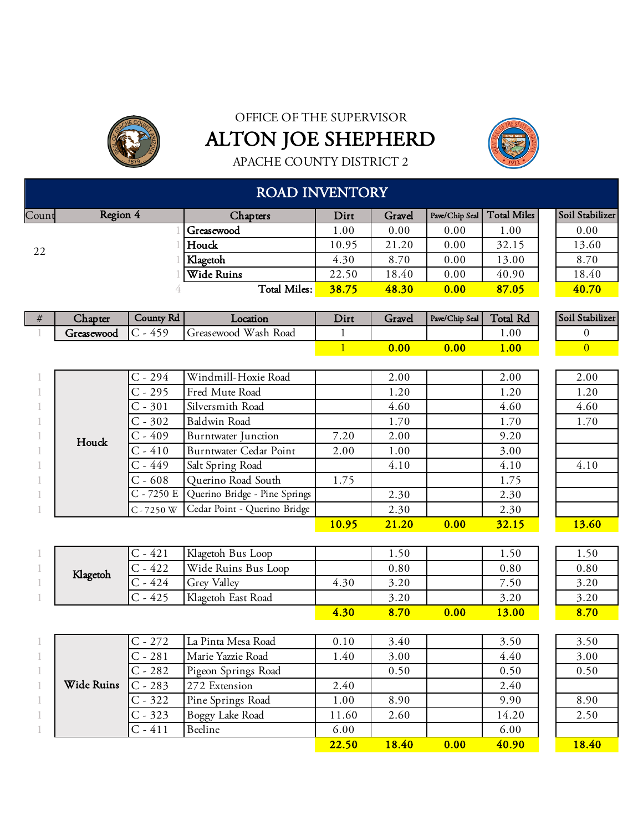



APACHE COUNTY DISTRICT 2

### ROAD INVENTORY

| Count | Region 4 | Chapters               | Dirt  | Gravel |      | Pave/Chip Seal   Total Miles | Soil Stabilizer |
|-------|----------|------------------------|-------|--------|------|------------------------------|-----------------|
|       |          | <b>Secure Secure 6</b> | 00.   | 0.00   | 0.00 | 00.1                         | 0.00            |
| 22    |          | Houck                  | 10.95 | 21.20  | 0.00 | 32.15                        | 13.60           |
|       |          | Klagetoh               | 4.30  | 8.70   | 0.00 | 13.00                        | 8.70            |
|       |          | <b>Wide Ruins</b>      | 22.50 | 18.40  | 0.00 | 40.90                        | 18.40           |
|       |          | Total Miles:           | 38.75 | 48.30  | 0.00 | 87.05                        | 40.70           |

| $\sim$<br>Chapter | County Rd             | Location                   | Dirt | Gravel | Pave/Chip Seal | $\mathbf{H}$<br><b>Total Rd</b> | Soil Stabilizer |
|-------------------|-----------------------|----------------------------|------|--------|----------------|---------------------------------|-----------------|
| Greasewood        | $\overline{1}$<br>450 | Wash<br>Road<br>Greasewood |      |        |                | 1.00                            |                 |
|                   |                       |                            |      | 0.00   | $0.00\,$       | 1.00                            |                 |

|       | $C - 294$    | Windmill-Hoxie Road                        |              | 2.00  |      | 2.00  | 2.00  |
|-------|--------------|--------------------------------------------|--------------|-------|------|-------|-------|
|       | $C - 295$    | Fred Mute Road                             |              | 1.20  |      | 1.20  | 1.20  |
|       | $C - 301$    | Silversmith Road                           |              | 4.60  |      | 4.60  | 4.60  |
|       | $C - 302$    | <b>Baldwin Road</b>                        |              | 1.70  |      | 1.70  | 1.70  |
| Houck | $C - 409$    | Burntwater Junction                        | 7.20         | 2.00  |      | 9.20  |       |
|       | $C - 410$    | Burntwater Cedar Point                     | 2.00         | 1.00  |      | 3.00  |       |
|       | $C - 449$    | Salt Spring Road                           |              | 4.10  |      | 4.10  | 4.10  |
|       | $C - 608$    | Querino Road South                         | 1.75         |       |      | 1.75  |       |
|       |              | $C - 7250 E$ Querino Bridge - Pine Springs |              | 2.30  |      | 2.30  |       |
|       | $C - 7250$ W | Cedar Point - Querino Bridge               |              | 2.30  |      | 2.30  |       |
|       |              |                                            | <u>10.95</u> | 21.20 | 0.00 | 32.15 | 13.60 |

|  |          | - 421  | Klagetoh Bus Loop          |      | 1.50 |      | 1.50  | 1.50 |
|--|----------|--------|----------------------------|------|------|------|-------|------|
|  | Klagetoh | - 422  | Wide Ruins Bus Loop        |      | 0.80 |      | 0.80  | 0.80 |
|  |          | $-424$ | Valley<br>$\overline{arg}$ | 4.30 | 3.20 |      | 7.50  | 3.20 |
|  |          | $-425$ | Klagetoh East Road         |      | 3.20 |      | 3.20  | 3.20 |
|  |          |        |                            | 4.30 | 8.70 | 0.00 | 13.00 | 8.70 |

|            | $C - 272$ | La Pinta Mesa Road     | 0.10  | 3.40         |      | 3.50  | 3.50  |
|------------|-----------|------------------------|-------|--------------|------|-------|-------|
|            | $C - 281$ | Marie Yazzie Road      | 1.40  | 3.00         |      | 4.40  | 3.00  |
|            | $C - 282$ | Pigeon Springs Road    |       | 0.50         |      | 0.50  | 0.50  |
| Wide Ruins | $C - 283$ | 272 Extension          | 2.40  |              |      | 2.40  |       |
|            | $C - 322$ | Pine Springs Road      | 1.00  | 8.90         |      | 9.90  | 8.90  |
|            | $C - 323$ | <b>Boggy Lake Road</b> | 11.60 | 2.60         |      | 14.20 | 2.50  |
|            | $C - 411$ | Beeline                | 6.00  |              |      | 6.00  |       |
|            |           |                        | 22.50 | <b>18.40</b> | 0.00 | 40.90 | 18.40 |